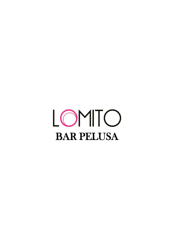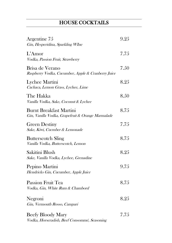# HOUSE COCKTAILS

| Argentine 75<br>Gin, Hesperidina, Sparkling WIne                                    | 9.25 |
|-------------------------------------------------------------------------------------|------|
| L'Amor<br>Vodka, Passion Fruit, Strawberry                                          | 7.75 |
| Brisa de Verano<br>Raspberry Vodka, Cucumber, Apple & Cranberry Juice               | 7.50 |
| Lychee Martini<br>Cachaca, Lemon Grass, Lychee, Lime                                | 8.25 |
| The Hakka<br>Vanilla Vodka, Sake, Coconut & Lychee                                  | 8.50 |
| <b>Burnt Breakfast Martini</b><br>Gin, Vanilla Vodka, Grapefruit & Orange Marmalade | 8.75 |
| <b>Green Destiny</b><br>Sake, Kiwi, Cucmber & Lemonade                              | 7.75 |
| <b>Butterscotch Sling</b><br>Vanilla Vodka, Butterscotch, Lemon                     | 8.75 |
| Sakitini Blush<br>Sake, Vanilla Vodka, Lychee, Grenadine                            | 8.25 |
| Pepino Martini<br>Hendricks Gin, Cucumber, Apple Juice                              | 9.75 |
| <b>Passion Fruit Tea</b><br>Vodka, Gin, White Rum & Chambord                        | 8.75 |
| Negroni<br>Gin, Vermouth Rosso, Campari                                             | 8.25 |
| <b>Beefy Bloody Mary</b><br>Vodka, Horseradish, Beef Consommé, Seasoning            | 7.75 |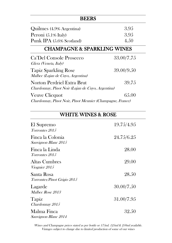| REERS                                                                           |            |  |
|---------------------------------------------------------------------------------|------------|--|
| Quilmes (4.9% Argentina)                                                        | 3.95       |  |
| Peroni (5.1% Italy)                                                             | 3.95       |  |
| Punk IPA (5.6% Scotland)                                                        | 4.50       |  |
| <b>CHAMPAGNE &amp; SPARKLING WINES</b>                                          |            |  |
| Ca'Del Console Prosecco<br>Glera (Veneta, Italy)                                | 33.00/7.75 |  |
| <b>Tapiz Sparkling Rose</b><br>Malbec (Lujan de Cuyo, Argentina)                | 39.00/9.50 |  |
| Norton Perdriel Extra Brut<br>Chardonnay, Pinot Noir (Lujan de Cuyo, Argentina) | 39.75      |  |
| Veuve Clicquot                                                                  | 6.5.00     |  |
| Chardonnay, Pinot Noir, Pinot Meunier (Champagne, France)                       |            |  |

## WHITE WINES & ROSE

| El Supremo<br>Torrontes 2015               | 19.75/4.95 |
|--------------------------------------------|------------|
| Finca la Colonia<br>Sauvignon Blanc 2015   | 24.75/6.25 |
| Finca la Linda<br>Torrontes 2015           | 28.00      |
| Altas Cumbres<br><i>Viognier 2015</i>      | 29.00      |
| Santa Rosa<br>Torrontes/Pinot Grigio 2015  | 28.50      |
| Lagarde<br><i>Malbec Rose 2013</i>         | 30.00/7.50 |
| Tapiz<br>Chardonnay 2015                   | 31.00/7.95 |
| Malma Finca<br><i>Sauvignon Blanc 2014</i> | 32.50      |

Wines and Champagne prices stated as per bottle or 175ml. 125ml & 250ml available. Vintages subject to change due to limited production of some of our wines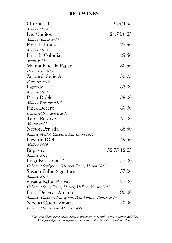#### RED WINES

| Chronos II                                            | 19.75/4.95  |
|-------------------------------------------------------|-------------|
| <i>Malbec 2014</i>                                    |             |
| Las Manitos                                           | 24.75/6.25  |
| Malbec/Shiraz 2015                                    |             |
| Finca la Linda                                        | 28.50       |
| Malbec 2014                                           |             |
| Finca la Colonia                                      | 29.50       |
| <i>Syrah</i> 2015                                     |             |
| Malma Finca la Papay                                  | 30.50       |
| Pinot Noir 2015                                       |             |
| Zuccardi Serie A                                      | 30.75       |
| <i>Bonarda 2014</i>                                   |             |
| Lagarde                                               | 37.00       |
| Malbec 2014                                           |             |
| Passo Doble                                           | 38.00       |
| Malbec/Corvina 2013                                   |             |
| Finca Decero                                          | 40.00       |
| Cabernet Sauvignon 2013                               |             |
| <b>Tapiz Reserve</b>                                  | 41.00       |
| <b>Merlot</b> 2011                                    |             |
| Norton Privada                                        | 48.50       |
| Malbec, Merlot, Cabernet Sauvignon 2012               |             |
| Lagarde DOC                                           | 49.50       |
| Malbec 2012                                           |             |
| <b>Rupestre</b>                                       | 52.75/12.25 |
| Malbec 2011                                           |             |
| Luigi Bosca Gala 2                                    | 52.00       |
| Cabernet Suvignon, Cabernet Franc, Merlot 2012        |             |
| Susana Balbo Signature                                | 57.00       |
| <i>Malbec 2013</i>                                    |             |
| Susana Balbo Brioso                                   | 72.00       |
| Cabernet Sauv, Franc, Merlot, Malbec, Verdot 2012     |             |
| Finca Decero Amano                                    | 90.00       |
| Malbec, Cabernet Sauvignon, Petit Verdot, Tannat 2010 |             |
| Nicolas Catena Zapata                                 | 150.00      |
| Cabernet Sauvignon, Malbec 2009                       |             |

Wines and Champagne prices stated as per bottle or 175ml. 125ml & 250ml available. Vintages subject to change due to limited production of some of our wines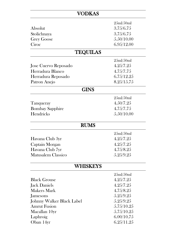| <b>VODKAS</b>             |            |
|---------------------------|------------|
|                           | 25ml/50ml  |
| Absolut                   | 3.75/6.75  |
| Stolichnaya               | 3.75/6.75  |
| <b>Grey Goose</b>         | 5.50/10.00 |
| Ciroc                     | 6.95/12.00 |
| <b>TEQUILAS</b>           |            |
|                           | 25ml/50ml  |
| Jose Cuervo Reposado      | 4.25/7.25  |
| Herradura Blanco          | 4.75/7.75  |
| Herradura Reposado        | 6.75/12.25 |
| Patron Anejo              | 8.25/15.75 |
| GINS                      |            |
|                           | 25ml/50ml  |
| Tanqueray                 | 4.50/7.25  |
| <b>Bombay Sapphire</b>    | 4.75/7.75  |
| Hendricks                 | 5.50/10.00 |
| <b>RUMS</b>               |            |
|                           | 25ml/50ml  |
| Havana Club 3yr           | 4.25/7.25  |
| Captain Morgan            | 4.25/7.25  |
| Havana Club 7yr           | 4.75/8.25  |
| <b>Matusalem Classico</b> | 5.25/9.25  |
| <b>WHISKEYS</b>           |            |
|                           | 25ml/50ml  |
| <b>Black Grouse</b>       | 4.25/7.25  |
| <b>Jack Daniels</b>       | 4.25/7.25  |
| <b>Makers Mark</b>        | 4.75/8.25  |
| Jamesons                  | 5.25/9.25  |
| Johnny Walker Black Label | 5.25/9.25  |
| <b>Amrut Fusion</b>       | 5.75/10.25 |
| Macallan 10yr             | 5.75/10.25 |
| Laphroig                  | 6.00/10.75 |
| Oban 14yr                 | 6.25/11.25 |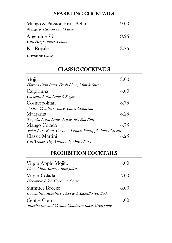## SPARKLING COCKTAILS

| Mango & Passion Fruit Bellini<br>Mango & Passion Fruit Puree | 9(0() |
|--------------------------------------------------------------|-------|
| Argentine 75<br>Gin, Hesperidina, Lemon                      | 9.25  |
| <b>Kir Royale</b>                                            | 8.75  |
| <i>Crème de Cassis</i>                                       |       |

## CLASSIC COCKTAILS

| Mojito                                                   | 8.00 |
|----------------------------------------------------------|------|
| Havana Club Rum, Fresh Lime, Mint & Sugar                |      |
| Caipirinha                                               | 8.00 |
| Cachaca, Fresh Lime & Sugar                              |      |
| Cosmopolitan                                             | 8.75 |
| Vodka, Cranberry Juice, Lime, Cointreau                  |      |
| Margarita                                                | 8.25 |
| Tequila, Fresh Lime, Triple Sec, Salt Rim                |      |
| Mango Colada                                             | 8.75 |
| Sailor Jerry Rum, Coconut Liquer, Pineapple Juice, Cream |      |
| <b>Classic Martini</b>                                   | 8.25 |
| Gin/Vodka, Dry Vermouth, Olive/Twist                     |      |

### PROHIBITION COCKTAILS

| Virgin Apple Mojito<br>Lime, Mint, Sugar, Apple Juice                   | 4.00 |
|-------------------------------------------------------------------------|------|
| Virgin Colada<br>Pineapple Juice, Coconut, Cream                        | 4.00 |
| <b>Summer Breeze</b><br>Cucumber, Strawberry, Apple & Elderflower, Soda | 4.00 |
| Centre Court<br>Strawberries and Cream, Cranberry Juice, Grenadine      | 4.00 |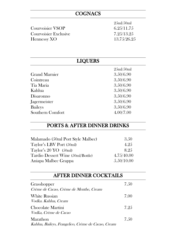### **COGNACS**

|                              | 25ml/50ml   |
|------------------------------|-------------|
| <b>Courvoisier VSOP</b>      | 6.25/11.75  |
| <b>Courvoisier Exclusive</b> | 7.25/13.25  |
| Hennessy XO                  | 13.75/26.25 |

| <b>LIQUERS</b>       |           |
|----------------------|-----------|
|                      | 25ml/50ml |
| <b>Grand Marnier</b> | 3.50/6.90 |
| Cointreau            | 3.50/6.90 |
| Tia Maria            | 3.50/6.90 |
| Kahlua               | 3.50/6.90 |
| Disaronno            | 3.50/6.90 |
| Jagermeister         | 3.50/6.90 |
| <b>Baileys</b>       | 3.50/6.90 |
| Southern Comfort     | 4.00/7.00 |

### PORTS & AFTER DINNER DRINKS

| Malamado (50ml Port Style Malbec) | 3.50       |
|-----------------------------------|------------|
| Taylor's LBV Port (50ml)          | 4.25       |
| Taylor's $20 \text{ YO}$ (50ml)   | 8.95       |
| Tardio Dessert Wine (50ml/Bottle) | 4.75/40.00 |
| Aniapa Malbec Grappa              | 5.50/10.00 |

#### AFTER DINNER COCKTAILS

| Grasshopper<br>Crème de Cacao, Crème de Menthe, Cream          | 7.50 |
|----------------------------------------------------------------|------|
| <b>White Russian</b><br><i>Vodka. Kahlua, Cream</i>            | 7.00 |
| Chocolate Martini<br><i>Vodka, Crème de Cacao</i>              | 7.25 |
| Marathon<br>Kahlua, Baileys, Frangelico, Crème de Cacao, Cream | 7.50 |